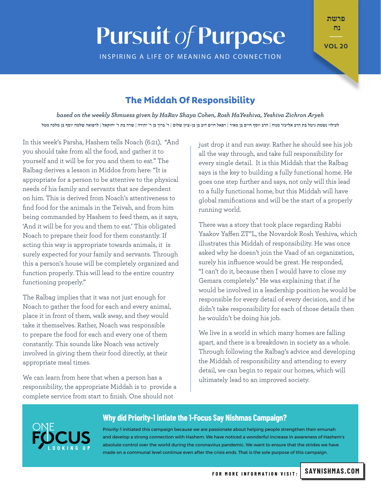# **Pursuit of Purpose**

INSPIRING A LIFE OF MEANING AND CONNECTION

פרשת נח  $\mathbb{Z}^n$ 

**20 VOL** 

## **The Middah Of Responsibility**

based on the weekly Shmuess given by HaRav Shaya Cohen, Rosh HaYeshiva, Yeshiva Zichron Aryeh לעילוי נשמת גיטל בת הרב אליעזר מנוח | הרב יוסף חיים בן מאיר | רפאל חיים דוב בן בן-ציון שלום | ר' ברוך בן ר' יהודה | שרה בת ר' יחזקאל | לרפואה שלמה יוסף בן מלכה מטל

In this week's Parsha, Hashem tells Noach (6:21), "And you should take from all the food, and gather it to yourself and it will be for you and them to eat." The Ralbag derives a lesson in Middos from here: "It is appropriate for a person to be attentive to the physical needs of his family and servants that are dependent on him This is derived from Noach's attentiveness to find food for the animals in the Teivah, and from him being commanded by Hashem to feed them, as it savs. 'And it will be for you and them to eat.' This obligated Noach to prepare their food for them constantly. If acting this way is appropriate towards animals, it is surely expected for your family and servants. Through this a person's house will be completely organized and function properly. This will lead to the entire country functioning properly."

The Ralbag implies that it was not just enough for Noach to gather the food for each and every animal, place it in front of them, walk away, and they would take it themselves. Rather, Noach was responsible to prepare the food for each and every one of them constantly. This sounds like Noach was actively involved in giving them their food directly, at their appropriate meal times.

We can learn from here that when a person has a responsibility, the appropriate Middah is to provide a complete service from start to finish. One should not

just drop it and run away. Rather he should see his job all the way through, and take full responsibility for every single detail. It is this Middah that the Ralbag says is the key to building a fully functional home. He goes one step further and says, not only will this lead to a fully functional home, but this Middah will have global ramifications and will be the start of a properly running world.

There was a story that took place regarding Rabbi Yaakov Yaffen ZT"L, the Novardok Rosh Yeshiva, which illustrates this Middah of responsibility. He was once asked why he doesn't join the Vaad of an organization, surely his influence would be great. He responded, "I can't do it, because then I would have to close my Gemara completely." He was explaining that if he would be involved in a leadership position he would be responsible for every detail of every decision, and if he didn't take responsibility for each of those details then he wouldn't be doing his job.

We live in a world in which many homes are falling apart, and there is a breakdown in society as a whole. Through following the Ralbag's advice and developing the Middah of responsibility and attending to every detail, we can begin to repair our homes, which will ultimately lead to an improved society.



#### **Why did Priority-1 intiate the 1-Focus Say Nishmas Campaign?**

Priority-1 initiated this campaign because we are passionate about helping people strengthen their emunah and develop a strong connection with Hashem. We have noticed a wonderful increase in awareness of Hashem's absolute control over the world during the coronavirus pandemic. We want to ensure that the strides we have made on a communal level continue even after the crisis ends. That is the sole purpose of this campaign.